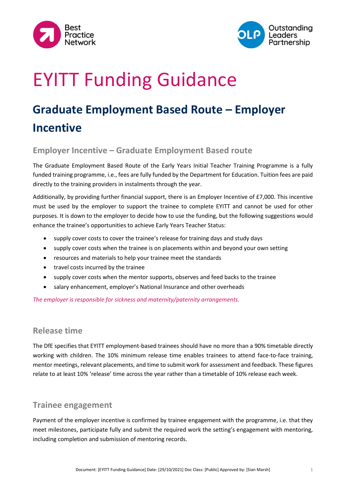



# EYITT Funding Guidance

# **Graduate Employment Based Route – Employer Incentive**

#### **Employer Incentive – Graduate Employment Based route**

The Graduate Employment Based Route of the Early Years Initial Teacher Training Programme is a fully funded training programme, i.e., fees are fully funded by the Department for Education. Tuition fees are paid directly to the training providers in instalments through the year.

Additionally, by providing further financial support, there is an Employer Incentive of £7,000. This incentive must be used by the employer to support the trainee to complete EYITT and cannot be used for other purposes. It is down to the employer to decide how to use the funding, but the following suggestions would enhance the trainee's opportunities to achieve Early Years Teacher Status:

- supply cover costs to cover the trainee's release for training days and study days
- supply cover costs when the trainee is on placements within and beyond your own setting
- resources and materials to help your trainee meet the standards
- travel costs incurred by the trainee
- supply cover costs when the mentor supports, observes and feed backs to the trainee
- salary enhancement, employer's National Insurance and other overheads

*The employer is responsible for sickness and maternity/paternity arrangements.*

#### **Release time**

The DfE specifies that EYITT employment-based trainees should have no more than a 90% timetable directly working with children. The 10% minimum release time enables trainees to attend face-to-face training, mentor meetings, relevant placements, and time to submit work for assessment and feedback. These figures relate to at least 10% 'release' time across the year rather than a timetable of 10% release each week.

#### **Trainee engagement**

Payment of the employer incentive is confirmed by trainee engagement with the programme, i.e. that they meet milestones, participate fully and submit the required work the setting's engagement with mentoring, including completion and submission of mentoring records.